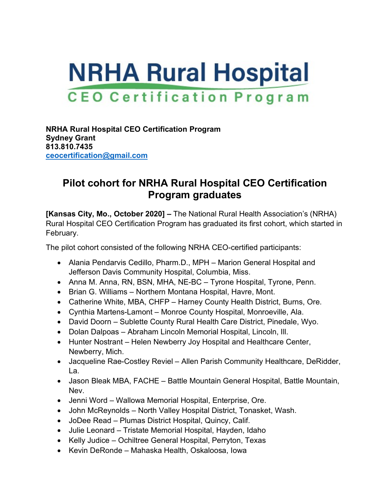## **NRHA Rural Hospital CEO Certification Program**

**NRHA Rural Hospital CEO Certification Program Sydney Grant 813.810.7435 [ceocertification@gmail.com](mailto:ceocertification@gmail.com)**

## **Pilot cohort for NRHA Rural Hospital CEO Certification Program graduates**

**[Kansas City, Mo., October 2020] –** The National Rural Health Association's (NRHA) Rural Hospital CEO Certification Program has graduated its first cohort, which started in February.

The pilot cohort consisted of the following NRHA CEO-certified participants:

- Alania Pendarvis Cedillo, Pharm.D., MPH Marion General Hospital and Jefferson Davis Community Hospital, Columbia, Miss.
- Anna M. Anna, RN, BSN, MHA, NE-BC Tyrone Hospital, Tyrone, Penn.
- Brian G. Williams Northern Montana Hospital, Havre, Mont.
- Catherine White, MBA, CHFP Harney County Health District, Burns, Ore.
- Cynthia Martens-Lamont Monroe County Hospital, Monroeville, Ala.
- David Doorn Sublette County Rural Health Care District, Pinedale, Wyo.
- Dolan Dalpoas Abraham Lincoln Memorial Hospital, Lincoln, Ill.
- Hunter Nostrant Helen Newberry Joy Hospital and Healthcare Center, Newberry, Mich.
- Jacqueline Rae-Costley Reviel Allen Parish Community Healthcare, DeRidder, La.
- Jason Bleak MBA, FACHE Battle Mountain General Hospital, Battle Mountain, Nev.
- Jenni Word Wallowa Memorial Hospital, Enterprise, Ore.
- John McReynolds North Valley Hospital District, Tonasket, Wash.
- JoDee Read Plumas District Hospital, Quincy, Calif.
- Julie Leonard Tristate Memorial Hospital, Hayden, Idaho
- Kelly Judice Ochiltree General Hospital, Perryton, Texas
- Kevin DeRonde Mahaska Health, Oskaloosa, Iowa